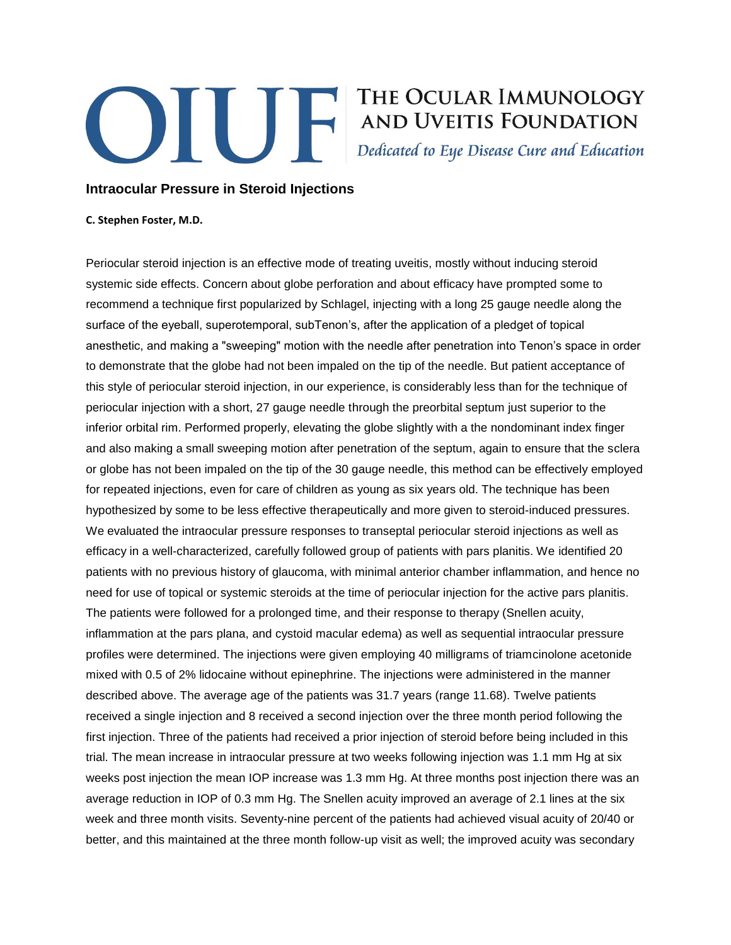## **Example 19 THE OCULAR IMMUNOLOGY<br>AND UVEITIS FOUNDATION**<br>Dedicated to Eye Disease Cure and Education

## **Intraocular Pressure in Steroid Injections**

## **C. Stephen Foster, M.D.**

Periocular steroid injection is an effective mode of treating uveitis, mostly without inducing steroid systemic side effects. Concern about globe perforation and about efficacy have prompted some to recommend a technique first popularized by Schlagel, injecting with a long 25 gauge needle along the surface of the eyeball, superotemporal, subTenon's, after the application of a pledget of topical anesthetic, and making a "sweeping" motion with the needle after penetration into Tenon's space in order to demonstrate that the globe had not been impaled on the tip of the needle. But patient acceptance of this style of periocular steroid injection, in our experience, is considerably less than for the technique of periocular injection with a short, 27 gauge needle through the preorbital septum just superior to the inferior orbital rim. Performed properly, elevating the globe slightly with a the nondominant index finger and also making a small sweeping motion after penetration of the septum, again to ensure that the sclera or globe has not been impaled on the tip of the 30 gauge needle, this method can be effectively employed for repeated injections, even for care of children as young as six years old. The technique has been hypothesized by some to be less effective therapeutically and more given to steroid-induced pressures. We evaluated the intraocular pressure responses to transeptal periocular steroid injections as well as efficacy in a well-characterized, carefully followed group of patients with pars planitis. We identified 20 patients with no previous history of glaucoma, with minimal anterior chamber inflammation, and hence no need for use of topical or systemic steroids at the time of periocular injection for the active pars planitis. The patients were followed for a prolonged time, and their response to therapy (Snellen acuity, inflammation at the pars plana, and cystoid macular edema) as well as sequential intraocular pressure profiles were determined. The injections were given employing 40 milligrams of triamcinolone acetonide mixed with 0.5 of 2% lidocaine without epinephrine. The injections were administered in the manner described above. The average age of the patients was 31.7 years (range 11.68). Twelve patients received a single injection and 8 received a second injection over the three month period following the first injection. Three of the patients had received a prior injection of steroid before being included in this trial. The mean increase in intraocular pressure at two weeks following injection was 1.1 mm Hg at six weeks post injection the mean IOP increase was 1.3 mm Hg. At three months post injection there was an average reduction in IOP of 0.3 mm Hg. The Snellen acuity improved an average of 2.1 lines at the six week and three month visits. Seventy-nine percent of the patients had achieved visual acuity of 20/40 or better, and this maintained at the three month follow-up visit as well; the improved acuity was secondary